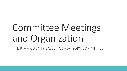# Committee Meetings and Organization

THE PIMA COUNTY SALES TAX ADVISORY COMMITTEE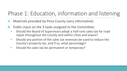## Phase 1: Education, information and listening

- A. Materials provided by Pima County (very informative)
- B. Public input on the 3 tasks assigned to the Committee:
	- Should the Board of Supervisors adopt a half-cent sales tax for road repair throughout the County and within cities and towns?
	- Should any portion of the sales tax revenues be used to reduce the County's property tax, and if so, what percentage?
	- Should the sales tax be permanent or temporary?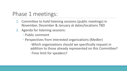### Phase 1 meetings:

- 1. Committee to hold listening sessions (public meetings) in November, December & January at dates/locations TBD
- 2. Agenda for listening sessions:
	- Public comment
	- Perspectives from interested organizations (Medler)

-Which organizations should we specifically request in addition to those already represented on this Committee? -Time limit for speakers?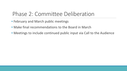### Phase 2: Committee Deliberation

- February and March public meetings
- Make final recommendations to the Board in March
- Meetings to include continued public input via Call to the Audience